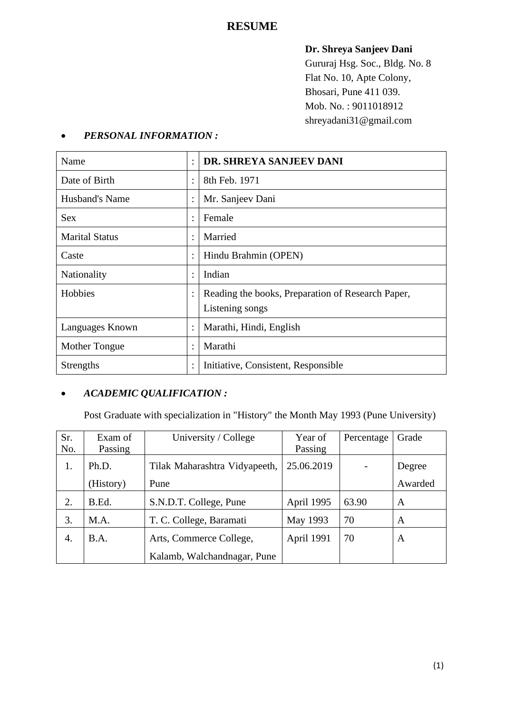# **RESUME**

## **Dr. Shreya Sanjeev Dani**

Gururaj Hsg. Soc., Bldg. No. 8 Flat No. 10, Apte Colony, Bhosari, Pune 411 039. Mob. No. : 9011018912 shreyadani31@gmail.com

| Name                  | $\ddot{\cdot}$ | DR. SHREYA SANJEEV DANI                                              |
|-----------------------|----------------|----------------------------------------------------------------------|
| Date of Birth         | $\bullet$      | 8th Feb. 1971                                                        |
| Husband's Name        | $\vdots$       | Mr. Sanjeev Dani                                                     |
| <b>Sex</b>            | $\ddot{\cdot}$ | Female                                                               |
| <b>Marital Status</b> | $\ddot{\cdot}$ | Married                                                              |
| Caste                 | $\ddot{\cdot}$ | Hindu Brahmin (OPEN)                                                 |
| Nationality           | $\ddot{\cdot}$ | Indian                                                               |
| Hobbies               | $\ddot{\cdot}$ | Reading the books, Preparation of Research Paper,<br>Listening songs |
| Languages Known       | $\ddot{\cdot}$ | Marathi, Hindi, English                                              |
| Mother Tongue         | $\ddot{\cdot}$ | Marathi                                                              |
| <b>Strengths</b>      | $\ddot{\cdot}$ | Initiative, Consistent, Responsible                                  |

# • *PERSONAL INFORMATION :*

# • *ACADEMIC QUALIFICATION :*

Post Graduate with specialization in "History" the Month May 1993 (Pune University)

| Sr. | Exam of   | University / College          | Year of    | Percentage | Grade   |
|-----|-----------|-------------------------------|------------|------------|---------|
| No. | Passing   |                               | Passing    |            |         |
| 1.  | Ph.D.     | Tilak Maharashtra Vidyapeeth, | 25.06.2019 |            | Degree  |
|     | (History) | Pune                          |            |            | Awarded |
| 2.  | B.Ed.     | S.N.D.T. College, Pune        | April 1995 | 63.90      | A       |
| 3.  | M.A.      | T. C. College, Baramati       | May 1993   | 70         | A       |
| 4.  | B.A.      | Arts, Commerce College,       | April 1991 | 70         | A       |
|     |           | Kalamb, Walchandnagar, Pune   |            |            |         |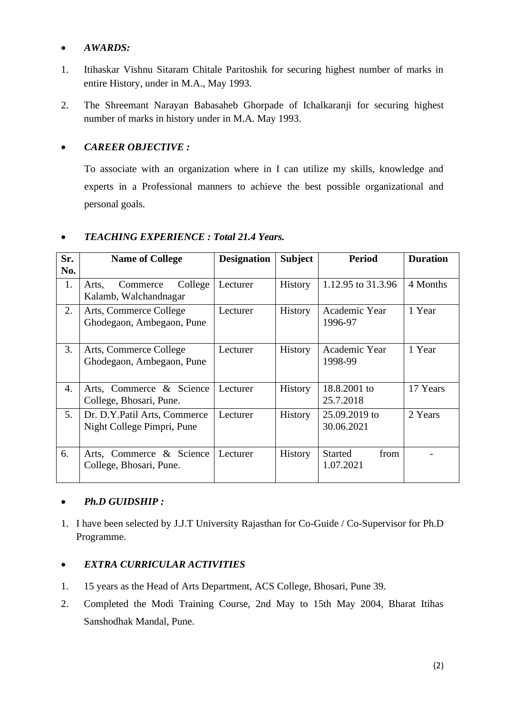#### • *AWARDS:*

- 1. Itihaskar Vishnu Sitaram Chitale Paritoshik for securing highest number of marks in entire History, under in M.A., May 1993.
- 2. The Shreemant Narayan Babasaheb Ghorpade of Ichalkaranji for securing highest number of marks in history under in M.A. May 1993.

### • *CAREER OBJECTIVE :*

To associate with an organization where in I can utilize my skills, knowledge and experts in a Professional manners to achieve the best possible organizational and personal goals.

| Sr. | <b>Name of College</b>                                      | <b>Designation</b> | <b>Subject</b> | <b>Period</b>                       | <b>Duration</b> |
|-----|-------------------------------------------------------------|--------------------|----------------|-------------------------------------|-----------------|
| No. |                                                             |                    |                |                                     |                 |
| 1.  | College<br>Commerce<br>Arts,<br>Kalamb, Walchandnagar       | Lecturer           | <b>History</b> | 1.12.95 to 31.3.96                  | 4 Months        |
| 2.  | Arts, Commerce College<br>Ghodegaon, Ambegaon, Pune         | Lecturer           | <b>History</b> | Academic Year<br>1996-97            | 1 Year          |
| 3.  | Arts, Commerce College<br>Ghodegaon, Ambegaon, Pune         | Lecturer           | <b>History</b> | Academic Year<br>1998-99            | 1 Year          |
| 4.  | Arts, Commerce & Science<br>College, Bhosari, Pune.         | Lecturer           | <b>History</b> | 18.8.2001 to<br>25.7.2018           | 17 Years        |
| 5.  | Dr. D.Y. Patil Arts, Commerce<br>Night College Pimpri, Pune | Lecturer           | <b>History</b> | 25.09.2019 to<br>30.06.2021         | 2 Years         |
| 6.  | Arts, Commerce & Science<br>College, Bhosari, Pune.         | Lecturer           | <b>History</b> | <b>Started</b><br>from<br>1.07.2021 |                 |

## • *TEACHING EXPERIENCE : Total 21.4 Years.*

## • *Ph.D GUIDSHIP :*

1. I have been selected by J.J.T University Rajasthan for Co-Guide / Co-Supervisor for Ph.D Programme.

### • *EXTRA CURRICULAR ACTIVITIES*

- 1. 15 years as the Head of Arts Department, ACS College, Bhosari, Pune 39.
- 2. Completed the Modi Training Course, 2nd May to 15th May 2004, Bharat Itihas Sanshodhak Mandal, Pune.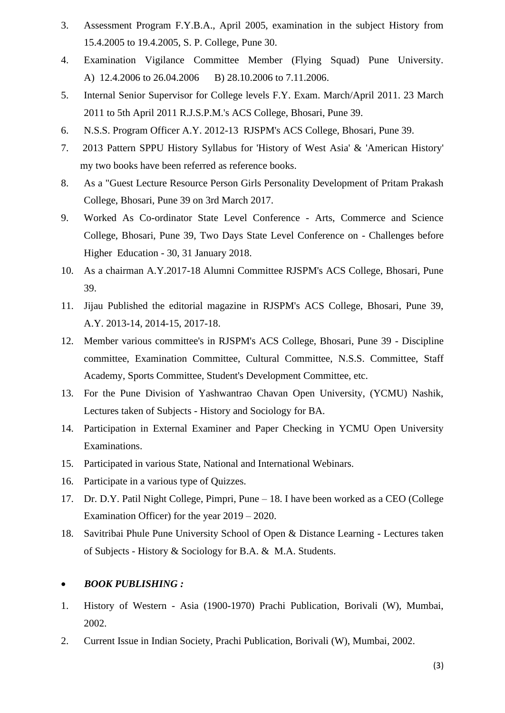- 3. Assessment Program F.Y.B.A., April 2005, examination in the subject History from 15.4.2005 to 19.4.2005, S. P. College, Pune 30.
- 4. Examination Vigilance Committee Member (Flying Squad) Pune University. A) 12.4.2006 to 26.04.2006 B) 28.10.2006 to 7.11.2006.
- 5. Internal Senior Supervisor for College levels F.Y. Exam. March/April 2011. 23 March 2011 to 5th April 2011 R.J.S.P.M.'s ACS College, Bhosari, Pune 39.
- 6. N.S.S. Program Officer A.Y. 2012-13 RJSPM's ACS College, Bhosari, Pune 39.
- 7. 2013 Pattern SPPU History Syllabus for 'History of West Asia' & 'American History' my two books have been referred as reference books.
- 8. As a "Guest Lecture Resource Person Girls Personality Development of Pritam Prakash College, Bhosari, Pune 39 on 3rd March 2017.
- 9. Worked As Co-ordinator State Level Conference Arts, Commerce and Science College, Bhosari, Pune 39, Two Days State Level Conference on - Challenges before Higher Education - 30, 31 January 2018.
- 10. As a chairman A.Y.2017-18 Alumni Committee RJSPM's ACS College, Bhosari, Pune 39.
- 11. Jijau Published the editorial magazine in RJSPM's ACS College, Bhosari, Pune 39, A.Y. 2013-14, 2014-15, 2017-18.
- 12. Member various committee's in RJSPM's ACS College, Bhosari, Pune 39 Discipline committee, Examination Committee, Cultural Committee, N.S.S. Committee, Staff Academy, Sports Committee, Student's Development Committee, etc.
- 13. For the Pune Division of Yashwantrao Chavan Open University, (YCMU) Nashik, Lectures taken of Subjects - History and Sociology for BA.
- 14. Participation in External Examiner and Paper Checking in YCMU Open University Examinations.
- 15. Participated in various State, National and International Webinars.
- 16. Participate in a various type of Quizzes.
- 17. Dr. D.Y. Patil Night College, Pimpri, Pune 18. I have been worked as a CEO (College Examination Officer) for the year 2019 – 2020.
- 18. Savitribai Phule Pune University School of Open & Distance Learning Lectures taken of Subjects - History & Sociology for B.A. & M.A. Students.

#### • *BOOK PUBLISHING :*

- 1. History of Western Asia (1900-1970) Prachi Publication, Borivali (W), Mumbai, 2002.
- 2. Current Issue in Indian Society, Prachi Publication, Borivali (W), Mumbai, 2002.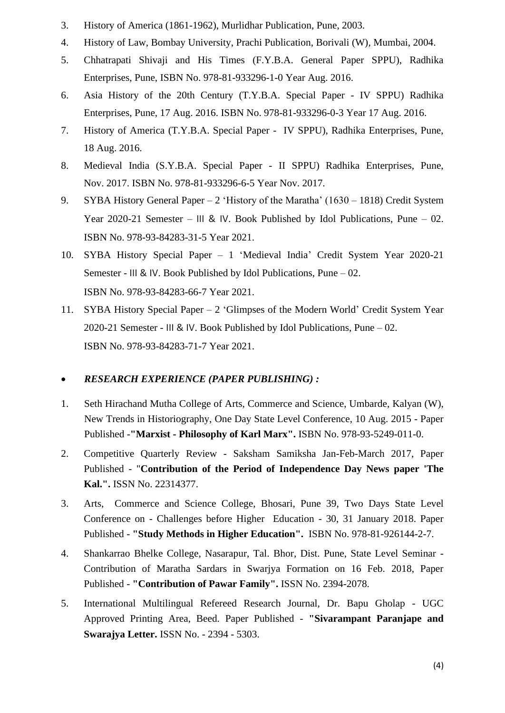- 3. History of America (1861-1962), Murlidhar Publication, Pune, 2003.
- 4. History of Law, Bombay University, Prachi Publication, Borivali (W), Mumbai, 2004.
- 5. Chhatrapati Shivaji and His Times (F.Y.B.A. General Paper SPPU), Radhika Enterprises, Pune, ISBN No. 978-81-933296-1-0 Year Aug. 2016.
- 6. Asia History of the 20th Century (T.Y.B.A. Special Paper IV SPPU) Radhika Enterprises, Pune, 17 Aug. 2016. ISBN No. 978-81-933296-0-3 Year 17 Aug. 2016.
- 7. History of America (T.Y.B.A. Special Paper IV SPPU), Radhika Enterprises, Pune, 18 Aug. 2016.
- 8. Medieval India (S.Y.B.A. Special Paper II SPPU) Radhika Enterprises, Pune, Nov. 2017. ISBN No. 978-81-933296-6-5 Year Nov. 2017.
- 9. SYBA History General Paper 2 'History of the Maratha' (1630 1818) Credit System Year 2020-21 Semester – III & IV. Book Published by Idol Publications, Pune – 02. ISBN No. 978-93-84283-31-5 Year 2021.
- 10. SYBA History Special Paper 1 'Medieval India' Credit System Year 2020-21 Semester - III & IV. Book Published by Idol Publications, Pune – 02. ISBN No. 978-93-84283-66-7 Year 2021.
- 11. SYBA History Special Paper 2 'Glimpses of the Modern World' Credit System Year 2020-21 Semester - III & IV. Book Published by Idol Publications, Pune – 02. ISBN No. 978-93-84283-71-7 Year 2021.

### • *RESEARCH EXPERIENCE (PAPER PUBLISHING) :*

- 1. Seth Hirachand Mutha College of Arts, Commerce and Science, Umbarde, Kalyan (W), New Trends in Historiography, One Day State Level Conference, 10 Aug. 2015 - Paper Published -**"Marxist - Philosophy of Karl Marx".** ISBN No. 978-93-5249-011-0.
- 2. Competitive Quarterly Review Saksham Samiksha Jan-Feb-March 2017, Paper Published - "**Contribution of the Period of Independence Day News paper 'The Kal.".** ISSN No. 22314377.
- 3. Arts, Commerce and Science College, Bhosari, Pune 39, Two Days State Level Conference on - Challenges before Higher Education - 30, 31 January 2018. Paper Published - **"Study Methods in Higher Education".** ISBN No. 978-81-926144-2-7.
- 4. Shankarrao Bhelke College, Nasarapur, Tal. Bhor, Dist. Pune, State Level Seminar Contribution of Maratha Sardars in Swarjya Formation on 16 Feb. 2018, Paper Published - **"Contribution of Pawar Family".** ISSN No. 2394-2078.
- 5. International Multilingual Refereed Research Journal, Dr. Bapu Gholap UGC Approved Printing Area, Beed. Paper Published - **"Sivarampant Paranjape and Swarajya Letter.** ISSN No. - 2394 - 5303.